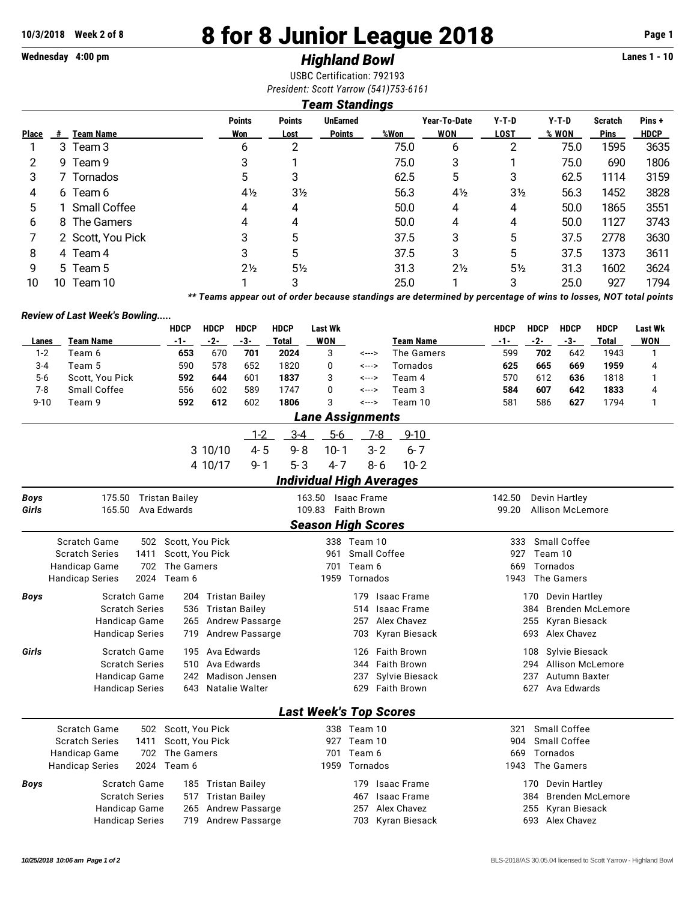# **10/3/2018 Week 2 of 8 8 for 8 Junior League 2018 Page 1**

# **Wednesday 4:00 pm** *Highland Bowl* **Lanes 1 - 10**

USBC Certification: 792193 *President: Scott Yarrow (541)753-6161*

#### *Team Standings*

| <b>Place</b> | #  | <b>Team Name</b>  | <b>Points</b><br>Won | <b>Points</b><br>Lost | <b>UnEarned</b><br><b>Points</b> | %Won | Year-To-Date<br><b>WON</b> | $Y-T-D$<br><b>LOST</b> | $Y-T-D$<br>% WON | <b>Scratch</b><br><b>Pins</b> | Pins +<br><b>HDCP</b> |
|--------------|----|-------------------|----------------------|-----------------------|----------------------------------|------|----------------------------|------------------------|------------------|-------------------------------|-----------------------|
|              |    | 3 Team 3          | 6                    | າ                     |                                  | 75.0 | 6                          | 2                      | 75.0             | 1595                          | 3635                  |
| 2            |    | 9 Team 9          | 3                    |                       |                                  | 75.0 | 3                          |                        | 75.0             | 690                           | 1806                  |
| 3            |    | 7 Tornados        | 5.                   | 3                     |                                  | 62.5 | 5                          | 3                      | 62.5             | 1114                          | 3159                  |
| 4            |    | 6 Team 6          | $4\frac{1}{2}$       | $3\frac{1}{2}$        |                                  | 56.3 | $4\frac{1}{2}$             | $3\frac{1}{2}$         | 56.3             | 1452                          | 3828                  |
| 5            |    | 1 Small Coffee    | 4                    | 4                     |                                  | 50.0 | 4                          | 4                      | 50.0             | 1865                          | 3551                  |
| 6            |    | 8 The Gamers      | 4                    | 4                     |                                  | 50.0 | 4                          | 4                      | 50.0             | 1127                          | 3743                  |
|              |    | 2 Scott, You Pick | 3                    | 5                     |                                  | 37.5 | 3                          | 5                      | 37.5             | 2778                          | 3630                  |
| 8            |    | 4 Team 4          | 3                    | 5                     |                                  | 37.5 | 3                          | 5                      | 37.5             | 1373                          | 3611                  |
| 9            |    | 5 Team 5          | $2\frac{1}{2}$       | 5½                    |                                  | 31.3 | $2\frac{1}{2}$             | $5\frac{1}{2}$         | 31.3             | 1602                          | 3624                  |
| 10           | 10 | Team 10           |                      | 3                     |                                  | 25.0 |                            | 3                      | 25.0             | 927                           | 1794                  |

*\*\* Teams appear out of order because standings are determined by percentage of wins to losses, NOT total points*

#### *Review of Last Week's Bowling.....*

|                                                                                        |                                                      | <b>HDCP</b>           | <b>HDCP</b> | <b>HDCP</b>            | <b>HDCP</b>  | <b>Last Wk</b>                  |                    |                    |                      | <b>HDCP</b>           | <b>HDCP</b>          | <b>HDCP</b>         | <b>HDCP</b>             | <b>Last Wk</b> |  |  |  |
|----------------------------------------------------------------------------------------|------------------------------------------------------|-----------------------|-------------|------------------------|--------------|---------------------------------|--------------------|--------------------|----------------------|-----------------------|----------------------|---------------------|-------------------------|----------------|--|--|--|
| Lanes                                                                                  | <b>Team Name</b>                                     | $-1-$                 | $-2-$       | $-3-$                  | <b>Total</b> | <b>WON</b>                      |                    |                    | <b>Team Name</b>     | $-1-$                 | $-2-$                | $-3-$               | <b>Total</b>            | <b>WON</b>     |  |  |  |
| $1 - 2$                                                                                | Team 6                                               | 653                   | 670         | 701                    | 2024         | 3                               | <--->              |                    | The Gamers           | 599                   | 702                  | 642                 | 1943                    | $\mathbf{1}$   |  |  |  |
| $3 - 4$                                                                                | Team 5                                               | 590                   | 578         | 652                    | 1820         | 0                               | <--->              |                    | Tornados             | 625                   | 665                  | 669                 | 1959                    | 4              |  |  |  |
| $5-6$                                                                                  | Scott, You Pick                                      | 592                   | 644         | 601                    | 1837         | 3                               | <--->              |                    | Team 4               | 570                   | 612                  | 636                 | 1818                    | 1              |  |  |  |
| $7 - 8$                                                                                | Small Coffee                                         | 556                   | 602         | 589                    | 1747         | 0                               | <--->              |                    | Team 3               | 584                   | 607                  | 642                 | 1833                    | 4              |  |  |  |
| $9 - 10$                                                                               | Team 9                                               | 592                   | 612         | 602                    | 1806         | 3                               | <--->              |                    | Team 10              | 581                   | 586                  | 627                 | 1794                    | $\mathbf{1}$   |  |  |  |
|                                                                                        |                                                      |                       |             |                        |              | <b>Lane Assignments</b>         |                    |                    |                      |                       |                      |                     |                         |                |  |  |  |
|                                                                                        |                                                      |                       |             | $1 - 2$                | $3 - 4$      | $5-6$                           |                    | $Z-8$              | $9 - 10$             |                       |                      |                     |                         |                |  |  |  |
|                                                                                        |                                                      |                       | 3 10/10     | $4 - 5$                | $9 - 8$      | $10 - 1$                        |                    | $3 - 2$            | $6 - 7$              |                       |                      |                     |                         |                |  |  |  |
|                                                                                        |                                                      |                       | 4 10/17     | $9 - 1$                | $5 - 3$      | $4 - 7$                         |                    | $8 - 6$            | $10 - 2$             |                       |                      |                     |                         |                |  |  |  |
|                                                                                        |                                                      |                       |             |                        |              | <b>Individual High Averages</b> |                    |                    |                      |                       |                      |                     |                         |                |  |  |  |
| <b>Boys</b>                                                                            | 175.50                                               | <b>Tristan Bailey</b> |             |                        |              | 163.50                          | <b>Isaac Frame</b> |                    |                      | 142.50                |                      | Devin Hartley       |                         |                |  |  |  |
| Girls                                                                                  | 165.50                                               | Ava Edwards           |             |                        |              | 109.83                          | <b>Faith Brown</b> |                    |                      | 99.20                 |                      | Allison McLemore    |                         |                |  |  |  |
|                                                                                        |                                                      |                       |             |                        |              | <b>Season High Scores</b>       |                    |                    |                      |                       |                      |                     |                         |                |  |  |  |
|                                                                                        | Scratch Game                                         | 502 Scott, You Pick   |             |                        |              |                                 | 338 Team 10        |                    |                      | 333                   |                      | <b>Small Coffee</b> |                         |                |  |  |  |
|                                                                                        | <b>Scratch Series</b><br>1411<br>Scott, You Pick     |                       |             |                        |              | 961                             | Small Coffee       |                    |                      | Team 10<br>927        |                      |                     |                         |                |  |  |  |
|                                                                                        | Handicap Game<br>702<br>The Gamers                   |                       |             |                        |              | 701                             | Team 6             |                    | Tornados<br>669      |                       |                      |                     |                         |                |  |  |  |
|                                                                                        | <b>Handicap Series</b><br>2024<br>Team 6             |                       |             |                        |              | 1959                            | Tornados           |                    |                      | The Gamers<br>1943    |                      |                     |                         |                |  |  |  |
| <b>Boys</b>                                                                            | <b>Scratch Game</b><br>Tristan Bailey<br>204         |                       |             |                        |              |                                 | 179                |                    | <b>Isaac Frame</b>   | Devin Hartley<br>170  |                      |                     |                         |                |  |  |  |
|                                                                                        | <b>Scratch Series</b>                                | 536                   |             | Tristan Bailey         |              |                                 | 514                |                    | <b>Isaac Frame</b>   |                       | 384                  |                     | <b>Brenden McLemore</b> |                |  |  |  |
|                                                                                        | Handicap Game                                        | 265                   |             | <b>Andrew Passarge</b> |              |                                 |                    | Alex Chavez        | 255<br>Kyran Biesack |                       |                      |                     |                         |                |  |  |  |
|                                                                                        | Andrew Passarge<br><b>Handicap Series</b><br>719     |                       |             |                        |              |                                 | 703                |                    | Kyran Biesack        | Alex Chavez<br>693    |                      |                     |                         |                |  |  |  |
| Girls                                                                                  | Ava Edwards<br>Scratch Game<br>195                   |                       |             |                        |              |                                 | 126                |                    | <b>Faith Brown</b>   | Sylvie Biesack<br>108 |                      |                     |                         |                |  |  |  |
|                                                                                        | <b>Scratch Series</b>                                | 510                   |             | Ava Edwards            |              |                                 | 344                |                    | <b>Faith Brown</b>   |                       | 294                  |                     | Allison McLemore        |                |  |  |  |
|                                                                                        | 242<br><b>Madison Jensen</b><br><b>Handicap Game</b> |                       |             |                        |              | 237<br>Sylvie Biesack           |                    |                    |                      |                       | 237<br>Autumn Baxter |                     |                         |                |  |  |  |
|                                                                                        | Natalie Walter<br><b>Handicap Series</b><br>643      |                       |             |                        |              |                                 |                    | <b>Faith Brown</b> | 627<br>Ava Edwards   |                       |                      |                     |                         |                |  |  |  |
|                                                                                        |                                                      |                       |             |                        |              | <b>Last Week's Top Scores</b>   |                    |                    |                      |                       |                      |                     |                         |                |  |  |  |
|                                                                                        | Scratch Game<br>502                                  | Scott, You Pick       |             |                        |              |                                 | 338 Team 10        |                    |                      | 321                   |                      | Small Coffee        |                         |                |  |  |  |
| <b>Scratch Series</b><br>1411<br>Scott, You Pick<br>702<br>The Gamers<br>Handicap Game |                                                      |                       |             |                        |              | 927                             | Team 10            |                    |                      | 904                   |                      | Small Coffee        |                         |                |  |  |  |
|                                                                                        |                                                      |                       |             |                        | 701          | Team 6                          |                    |                    | Tornados<br>669      |                       |                      |                     |                         |                |  |  |  |
|                                                                                        | 2024<br><b>Handicap Series</b>                       |                       | 1959        | Tornados               |              |                                 | 1943               |                    | The Gamers           |                       |                      |                     |                         |                |  |  |  |
| Boys                                                                                   | <b>Scratch Game</b>                                  |                       |             | 185 Tristan Bailey     |              |                                 | 179                |                    | Isaac Frame          |                       | 170                  | Devin Hartley       |                         |                |  |  |  |
|                                                                                        | <b>Scratch Series</b>                                |                       |             | 517 Tristan Bailey     |              |                                 | 467                |                    | <b>Isaac Frame</b>   |                       | 384                  |                     | <b>Brenden McLemore</b> |                |  |  |  |
|                                                                                        | Handicap Game                                        | 265                   |             | <b>Andrew Passarge</b> |              |                                 | 257                |                    | Alex Chavez          |                       | 255                  | Kyran Biesack       |                         |                |  |  |  |
|                                                                                        | <b>Handicap Series</b>                               | 719                   |             | <b>Andrew Passarge</b> |              |                                 | 703                |                    | Kyran Biesack        |                       | 693                  | Alex Chavez         |                         |                |  |  |  |
|                                                                                        |                                                      |                       |             |                        |              |                                 |                    |                    |                      |                       |                      |                     |                         |                |  |  |  |